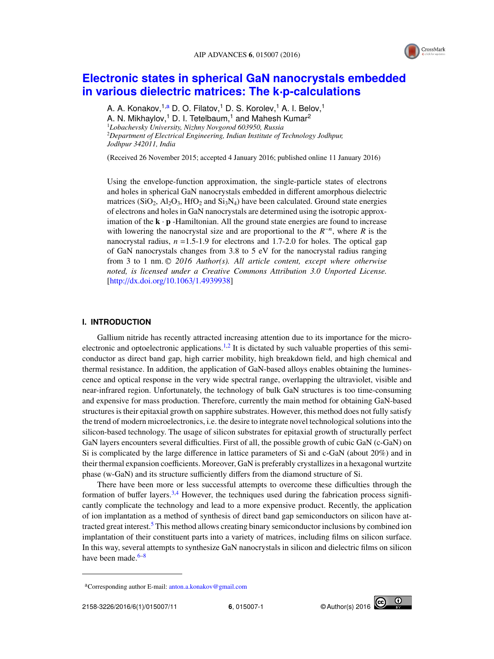

# **Electronic states in spherical GaN nanocrystals embedded in various dielectric matrices: The k**·**p-calculations**

A. A. Konakov,<sup>1,a</sup> D. O. Filatov,<sup>1</sup> D. S. Korolev,<sup>1</sup> A. I. Belov,<sup>1</sup> A. N. Mikhaylov,<sup>1</sup> D. I. Tetelbaum,<sup>1</sup> and Mahesh Kumar<sup>2</sup> <sup>1</sup>*Lobachevsky University, Nizhny Novgorod 603950, Russia* <sup>2</sup>*Department of Electrical Engineering, Indian Institute of Technology Jodhpur, Jodhpur 342011, India*

(Received 26 November 2015; accepted 4 January 2016; published online 11 January 2016)

Using the envelope-function approximation, the single-particle states of electrons and holes in spherical GaN nanocrystals embedded in different amorphous dielectric matrices ( $SiO_2$ ,  $Al_2O_3$ ,  $HfO_2$  and  $Si_3N_4$ ) have been calculated. Ground state energies of electrons and holes in GaN nanocrystals are determined using the isotropic approximation of the  $\mathbf{k} \cdot \mathbf{p}$  -Hamiltonian. All the ground state energies are found to increase with lowering the nanocrystal size and are proportional to the  $R^{-n}$ , where  $R$  is the nanocrystal radius,  $n = 1.5$ -1.9 for electrons and 1.7-2.0 for holes. The optical gap of GaN nanocrystals changes from 3.8 to 5 eV for the nanocrystal radius ranging from 3 to 1 nm. <sup>C</sup> *2016 Author(s). All article content, except where otherwise noted, is licensed under a Creative Commons Attribution 3.0 Unported License.* [http://dx.doi.org/10.1063/1.4939938]

## **I. INTRODUCTION**

Gallium nitride has recently attracted increasing attention due to its importance for the microelectronic and optoelectronic applications.<sup>1,2</sup> It is dictated by such valuable properties of this semiconductor as direct band gap, high carrier mobility, high breakdown field, and high chemical and thermal resistance. In addition, the application of GaN-based alloys enables obtaining the luminescence and optical response in the very wide spectral range, overlapping the ultraviolet, visible and near-infrared region. Unfortunately, the technology of bulk GaN structures is too time-consuming and expensive for mass production. Therefore, currently the main method for obtaining GaN-based structures is their epitaxial growth on sapphire substrates. However, this method does not fully satisfy the trend of modern microelectronics, i.e. the desire to integrate novel technological solutions into the silicon-based technology. The usage of silicon substrates for epitaxial growth of structurally perfect GaN layers encounters several difficulties. First of all, the possible growth of cubic GaN (c-GaN) on Si is complicated by the large difference in lattice parameters of Si and c-GaN (about 20%) and in their thermal expansion coefficients. Moreover, GaN is preferably crystallizes in a hexagonal wurtzite phase (w-GaN) and its structure sufficiently differs from the diamond structure of Si.

There have been more or less successful attempts to overcome these difficulties through the formation of buffer layers.<sup>3,4</sup> However, the techniques used during the fabrication process significantly complicate the technology and lead to a more expensive product. Recently, the application of ion implantation as a method of synthesis of direct band gap semiconductors on silicon have attracted great interest.<sup>5</sup> This method allows creating binary semiconductor inclusions by combined ion implantation of their constituent parts into a variety of matrices, including films on silicon surface. In this way, several attempts to synthesize GaN nanocrystals in silicon and dielectric films on silicon have been made.<sup>6–8</sup>



<sup>a</sup>Corresponding author E-mail: anton.a.konakov@gmail.com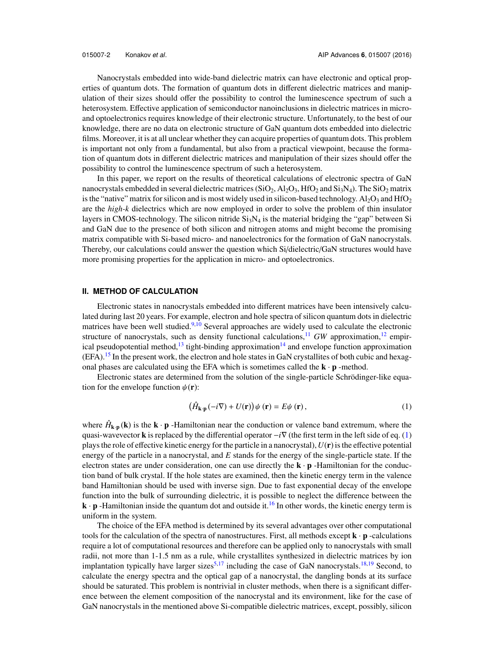Nanocrystals embedded into wide-band dielectric matrix can have electronic and optical properties of quantum dots. The formation of quantum dots in different dielectric matrices and manipulation of their sizes should offer the possibility to control the luminescence spectrum of such a heterosystem. Effective application of semiconductor nanoinclusions in dielectric matrices in microand optoelectronics requires knowledge of their electronic structure. Unfortunately, to the best of our knowledge, there are no data on electronic structure of GaN quantum dots embedded into dielectric films. Moreover, it is at all unclear whether they can acquire properties of quantum dots. This problem is important not only from a fundamental, but also from a practical viewpoint, because the formation of quantum dots in different dielectric matrices and manipulation of their sizes should offer the possibility to control the luminescence spectrum of such a heterosystem.

In this paper, we report on the results of theoretical calculations of electronic spectra of GaN nanocrystals embedded in several dielectric matrices ( $SiO_2$ ,  $Al_2O_3$ ,  $HfO_2$  and  $Si_3N_4$ ). The  $SiO_2$  matrix is the "native" matrix for silicon and is most widely used in silicon-based technology.  $Al_2O_3$  and  $HfO_2$ are the *high-k* dielectrics which are now employed in order to solve the problem of thin insulator layers in CMOS-technology. The silicon nitride  $Si<sub>3</sub>N<sub>4</sub>$  is the material bridging the "gap" between Si and GaN due to the presence of both silicon and nitrogen atoms and might become the promising matrix compatible with Si-based micro- and nanoelectronics for the formation of GaN nanocrystals. Thereby, our calculations could answer the question which Si/dielectric/GaN structures would have more promising properties for the application in micro- and optoelectronics.

# **II. METHOD OF CALCULATION**

Electronic states in nanocrystals embedded into different matrices have been intensively calculated during last 20 years. For example, electron and hole spectra of silicon quantum dots in dielectric matrices have been well studied.<sup>9,10</sup> Several approaches are widely used to calculate the electronic structure of nanocrystals, such as density functional calculations,  $11$  *GW* approximation,  $12$  empirical pseudopotential method,<sup>13</sup> tight-binding approximation<sup>14</sup> and envelope function approximation  $(EFA).$ <sup>15</sup> In the present work, the electron and hole states in GaN crystallites of both cubic and hexagonal phases are calculated using the EFA which is sometimes called the  $\mathbf{k} \cdot \mathbf{p}$  -method.

Electronic states are determined from the solution of the single-particle Schrödinger-like equation for the envelope function  $\psi(\mathbf{r})$ :

$$
(\hat{H}_{\mathbf{k}\cdot\mathbf{p}}(-i\nabla) + U(\mathbf{r}))\psi(\mathbf{r}) = E\psi(\mathbf{r}),
$$
\n(1)

where  $\hat{H}_{k,p}(\mathbf{k})$  is the  $\mathbf{k} \cdot \mathbf{p}$  -Hamiltonian near the conduction or valence band extremum, where the quasi-wavevector k is replaced by the differential operator −*i*∇ (the first term in the left side of eq. (1) plays the role of effective kinetic energy for the particle in a nanocrystal),  $U(\bf{r})$  is the effective potential energy of the particle in a nanocrystal, and *E* stands for the energy of the single-particle state. If the electron states are under consideration, one can use directly the  $\mathbf{k} \cdot \mathbf{p}$  -Hamiltonian for the conduction band of bulk crystal. If the hole states are examined, then the kinetic energy term in the valence band Hamiltonian should be used with inverse sign. Due to fast exponential decay of the envelope function into the bulk of surrounding dielectric, it is possible to neglect the difference between the  $\mathbf{k} \cdot \mathbf{p}$  -Hamiltonian inside the quantum dot and outside it.<sup>16</sup> In other words, the kinetic energy term is uniform in the system.

The choice of the EFA method is determined by its several advantages over other computational tools for the calculation of the spectra of nanostructures. First, all methods except  $\mathbf{k} \cdot \mathbf{p}$  -calculations require a lot of computational resources and therefore can be applied only to nanocrystals with small radii, not more than 1-1.5 nm as a rule, while crystallites synthesized in dielectric matrices by ion implantation typically have larger sizes<sup>5,17</sup> including the case of GaN nanocrystals.<sup>18,19</sup> Second, to calculate the energy spectra and the optical gap of a nanocrystal, the dangling bonds at its surface should be saturated. This problem is nontrivial in cluster methods, when there is a significant difference between the element composition of the nanocrystal and its environment, like for the case of GaN nanocrystals in the mentioned above Si-compatible dielectric matrices, except, possibly, silicon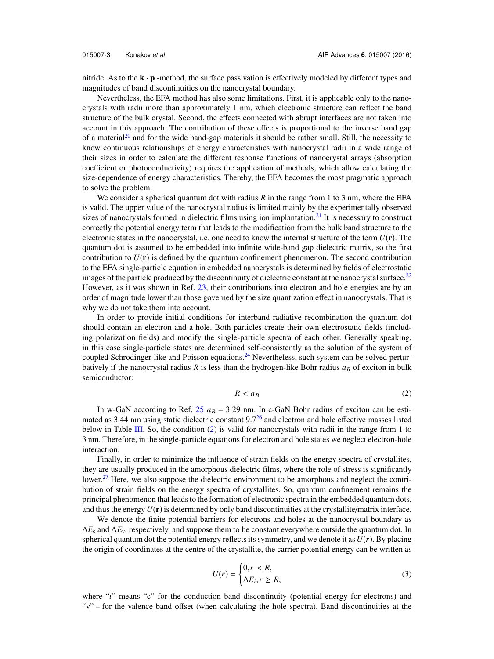nitride. As to the  $\mathbf{k} \cdot \mathbf{p}$  -method, the surface passivation is effectively modeled by different types and magnitudes of band discontinuities on the nanocrystal boundary.

Nevertheless, the EFA method has also some limitations. First, it is applicable only to the nanocrystals with radii more than approximately 1 nm, which electronic structure can reflect the band structure of the bulk crystal. Second, the effects connected with abrupt interfaces are not taken into account in this approach. The contribution of these effects is proportional to the inverse band gap of a material<sup>20</sup> and for the wide band-gap materials it should be rather small. Still, the necessity to know continuous relationships of energy characteristics with nanocrystal radii in a wide range of their sizes in order to calculate the different response functions of nanocrystal arrays (absorption coefficient or photoconductivity) requires the application of methods, which allow calculating the size-dependence of energy characteristics. Thereby, the EFA becomes the most pragmatic approach to solve the problem.

We consider a spherical quantum dot with radius *R* in the range from 1 to 3 nm, where the EFA is valid. The upper value of the nanocrystal radius is limited mainly by the experimentally observed sizes of nanocrystals formed in dielectric films using ion implantation. $^{21}$  It is necessary to construct correctly the potential energy term that leads to the modification from the bulk band structure to the electronic states in the nanocrystal, i.e. one need to know the internal structure of the term *U*(r). The quantum dot is assumed to be embedded into infinite wide-band gap dielectric matrix, so the first contribution to  $U(\mathbf{r})$  is defined by the quantum confinement phenomenon. The second contribution to the EFA single-particle equation in embedded nanocrystals is determined by fields of electrostatic images of the particle produced by the discontinuity of dielectric constant at the nanocrystal surface.<sup>22</sup> However, as it was shown in Ref. 23, their contributions into electron and hole energies are by an order of magnitude lower than those governed by the size quantization effect in nanocrystals. That is why we do not take them into account.

In order to provide initial conditions for interband radiative recombination the quantum dot should contain an electron and a hole. Both particles create their own electrostatic fields (including polarization fields) and modify the single-particle spectra of each other. Generally speaking, in this case single-particle states are determined self-consistently as the solution of the system of coupled Schrödinger-like and Poisson equations. $^{24}$  Nevertheless, such system can be solved perturbatively if the nanocrystal radius  $R$  is less than the hydrogen-like Bohr radius  $a<sub>B</sub>$  of exciton in bulk semiconductor:

$$
R < a \tag{2}
$$

In w-GaN according to Ref.  $25$   $a_B = 3.29$  nm. In c-GaN Bohr radius of exciton can be estimated as 3.44 nm using static dielectric constant 9.7<sup>26</sup> and electron and hole effective masses listed below in Table III. So, the condition  $(2)$  is valid for nanocrystals with radii in the range from 1 to 3 nm. Therefore, in the single-particle equations for electron and hole states we neglect electron-hole interaction.

Finally, in order to minimize the influence of strain fields on the energy spectra of crystallites, they are usually produced in the amorphous dielectric films, where the role of stress is significantly lower.<sup>27</sup> Here, we also suppose the dielectric environment to be amorphous and neglect the contribution of strain fields on the energy spectra of crystallites. So, quantum confinement remains the principal phenomenon that leads to the formation of electronic spectra in the embedded quantum dots, and thus the energy  $U(\mathbf{r})$  is determined by only band discontinuities at the crystallite/matrix interface.

We denote the finite potential barriers for electrons and holes at the nanocrystal boundary as ∆*E*<sup>c</sup> and ∆*E*v, respectively, and suppose them to be constant everywhere outside the quantum dot. In spherical quantum dot the potential energy reflects its symmetry, and we denote it as  $U(r)$ . By placing the origin of coordinates at the centre of the crystallite, the carrier potential energy can be written as

$$
U(r) = \begin{cases} 0, r < R, \\ \Delta E_i, r \ge R, \end{cases} \tag{3}
$$

where "*i*" means "c" for the conduction band discontinuity (potential energy for electrons) and "v" – for the valence band offset (when calculating the hole spectra). Band discontinuities at the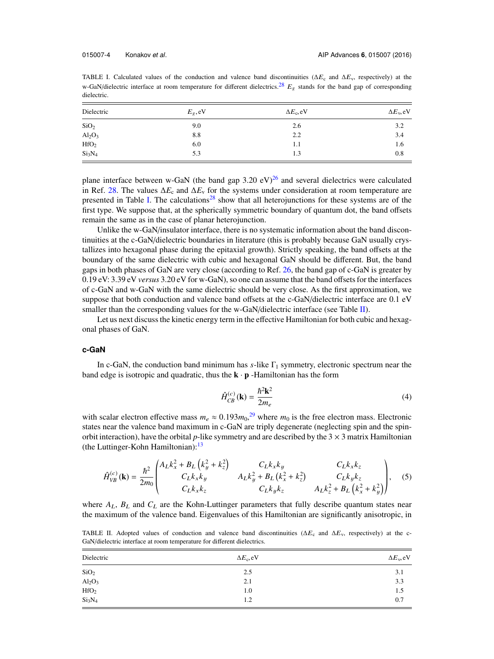TABLE I. Calculated values of the conduction and valence band discontinuities ( $\Delta E_c$  and  $\Delta E_v$ , respectively) at the w-GaN/dielectric interface at room temperature for different dielectrics.<sup>28</sup>  $E_g$  stands for the band gap of corresponding dielectric.

| Dielectric                     | $E_{\varrho}$ , eV | $\Delta E_c$ , eV | $\Delta E_{v}$ , eV |  |
|--------------------------------|--------------------|-------------------|---------------------|--|
| SiO <sub>2</sub>               | 9.0                | 2.6               | 3.2                 |  |
| $Al_2O_3$                      | 8.8                | 2.2               | 3.4                 |  |
| HfO <sub>2</sub>               | 6.0                | 1.1               | 1.6                 |  |
| Si <sub>3</sub> N <sub>4</sub> | 5.3                | 1.3               | 0.8                 |  |

plane interface between w-GaN (the band gap 3.20 eV)<sup>26</sup> and several dielectrics were calculated in Ref. 28. The values  $\Delta E_c$  and  $\Delta E_v$  for the systems under consideration at room temperature are presented in Table I. The calculations<sup>28</sup> show that all heterojunctions for these systems are of the first type. We suppose that, at the spherically symmetric boundary of quantum dot, the band offsets remain the same as in the case of planar heterojunction.

Unlike the w-GaN/insulator interface, there is no systematic information about the band discontinuities at the c-GaN/dielectric boundaries in literature (this is probably because GaN usually crystallizes into hexagonal phase during the epitaxial growth). Strictly speaking, the band offsets at the boundary of the same dielectric with cubic and hexagonal GaN should be different. But, the band gaps in both phases of GaN are very close (according to Ref. 26, the band gap of c-GaN is greater by 0.19 eV: 3.39 eV *versus* 3.20 eV for w-GaN), so one can assume that the band offsets for the interfaces of c-GaN and w-GaN with the same dielectric should be very close. As the first approximation, we suppose that both conduction and valence band offsets at the c-GaN/dielectric interface are 0.1 eV smaller than the corresponding values for the w-GaN/dielectric interface (see Table II).

Let us next discuss the kinetic energy term in the effective Hamiltonian for both cubic and hexagonal phases of GaN.

### **c-GaN**

In c-GaN, the conduction band minimum has  $s$ -like  $\Gamma_1$  symmetry, electronic spectrum near the band edge is isotropic and quadratic, thus the  $\mathbf{k} \cdot \mathbf{p}$  -Hamiltonian has the form

$$
\hat{H}_{CB}^{(c)}(\mathbf{k}) = \frac{\hbar^2 \mathbf{k}^2}{2m_e} \tag{4}
$$

with scalar electron effective mass  $m_e \approx 0.193 m_0^{29}$  where  $m_0$  is the free electron mass. Electronic states near the valence band maximum in c-GaN are triply degenerate (neglecting spin and the spinorbit interaction), have the orbital *p*-like symmetry and are described by the  $3 \times 3$  matrix Hamiltonian (the Luttinger-Kohn Hamiltonian):  $13$ 

$$
\hat{H}_{VB}^{(c)}(\mathbf{k}) = \frac{\hbar^2}{2m_0} \begin{pmatrix} A_L k_x^2 + B_L \left(k_y^2 + k_z^2\right) & C_L k_x k_y & C_L k_x k_z \\ C_L k_x k_y & A_L k_y^2 + B_L \left(k_x^2 + k_z^2\right) & C_L k_y k_z \\ C_L k_x k_z & C_L k_y k_z & A_L k_z^2 + B_L \left(k_x^2 + k_y^2\right) \end{pmatrix}, \quad (5)
$$

where  $A_L$ ,  $B_L$  and  $C_L$  are the Kohn-Luttinger parameters that fully describe quantum states near the maximum of the valence band. Eigenvalues of this Hamiltonian are significantly anisotropic, in

TABLE II. Adopted values of conduction and valence band discontinuities ( $\Delta E_c$  and  $\Delta E_v$ , respectively) at the c-GaN/dielectric interface at room temperature for different dielectrics.

| Dielectric                     | $\Delta E_c$ , eV | $\Delta E_{\rm v}$ , eV |
|--------------------------------|-------------------|-------------------------|
| SiO <sub>2</sub>               | 2.5               | 3.1                     |
| $Al_2O_3$                      | 2.1               | 3.3                     |
| HfO <sub>2</sub>               | 1.0               | 1.5                     |
| Si <sub>3</sub> N <sub>4</sub> | 1.2               | 0.7                     |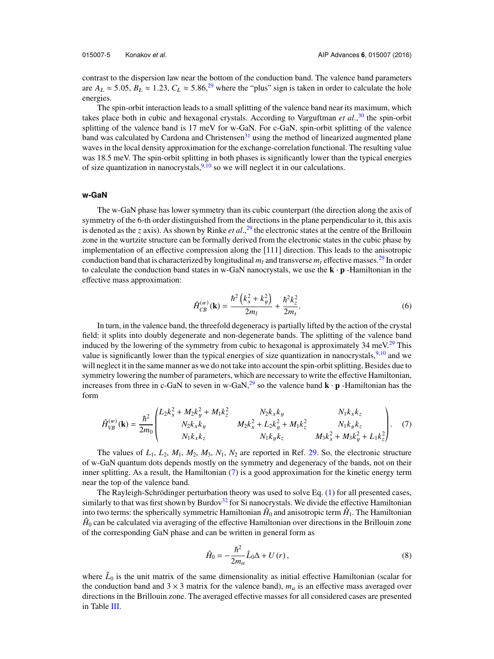contrast to the dispersion law near the bottom of the conduction band. The valence band parameters are  $A_L \approx 5.05$ ,  $B_L \approx 1.23$ ,  $C_L \approx 5.86$ ,<sup>29</sup> where the "plus" sign is taken in order to calculate the hole energies.

The spin-orbit interaction leads to a small splitting of the valence band near its maximum, which takes place both in cubic and hexagonal crystals. According to Varguftman *et al*., <sup>30</sup> the spin-orbit splitting of the valence band is 17 meV for w-GaN. For c-GaN, spin-orbit splitting of the valence band was calculated by Cardona and Christensen $31$  using the method of linearized augmented plane waves in the local density approximation for the exchange-correlation functional. The resulting value was 18.5 meV. The spin-orbit splitting in both phases is significantly lower than the typical energies of size quantization in nanocrystals,  $9,10$  so we will neglect it in our calculations.

#### **w-GaN**

The w-GaN phase has lower symmetry than its cubic counterpart (the direction along the axis of symmetry of the 6-th order distinguished from the directions in the plane perpendicular to it, this axis is denoted as the *z* axis). As shown by Rinke *et al*., <sup>29</sup> the electronic states at the centre of the Brillouin zone in the wurtzite structure can be formally derived from the electronic states in the cubic phase by implementation of an effective compression along the [111] direction. This leads to the anisotropic conduction band that is characterized by longitudinal  $m_l$  and transverse  $m_t$  effective masses.<sup>29</sup> In order to calculate the conduction band states in w-GaN nanocrystals, we use the  $\mathbf{k} \cdot \mathbf{p}$  -Hamiltonian in the effective mass approximation:

$$
\hat{H}_{CB}^{(w)}(\mathbf{k}) = \frac{\hbar^2 \left( k_x^2 + k_y^2 \right)}{2m_l} + \frac{\hbar^2 k_z^2}{2m_t}.
$$
\n(6)

In turn, in the valence band, the threefold degeneracy is partially lifted by the action of the crystal field: it splits into doubly degenerate and non-degenerate bands. The splitting of the valence band induced by the lowering of the symmetry from cubic to hexagonal is approximately  $34 \text{ meV}^{29}$  This value is significantly lower than the typical energies of size quantization in nanocrystals,  $9,10$  and we will neglect it in the same manner as we do not take into account the spin-orbit splitting. Besides due to symmetry lowering the number of parameters, which are necessary to write the effective Hamiltonian, increases from three in c-GaN to seven in w-GaN,<sup>29</sup> so the valence band  $\mathbf{k} \cdot \mathbf{p}$  -Hamiltonian has the form

$$
\hat{H}_{VB}^{(w)}(\mathbf{k}) = \frac{\hbar^2}{2m_0} \begin{pmatrix} L_2 k_x^2 + M_2 k_y^2 + M_1 k_z^2 & N_2 k_x k_y & N_1 k_x k_z \\ N_2 k_x k_y & M_2 k_x^2 + L_2 k_y^2 + M_1 k_z^2 & N_1 k_y k_z \\ N_1 k_x k_z & N_1 k_y k_z & M_3 k_x^2 + M_3 k_y^2 + L_1 k_z^2 \end{pmatrix} . \tag{7}
$$

The values of  $L_1$ ,  $L_2$ ,  $M_1$ ,  $M_2$ ,  $M_3$ ,  $N_1$ ,  $N_2$  are reported in Ref. 29. So, the electronic structure of w-GaN quantum dots depends mostly on the symmetry and degeneracy of the bands, not on their inner splitting. As a result, the Hamiltonian (7) is a good approximation for the kinetic energy term near the top of the valence band.

The Rayleigh-Schrödinger perturbation theory was used to solve Eq. (1) for all presented cases, similarly to that was first shown by Burdov $32$  for Si nanocrystals. We divide the effective Hamiltonian into two terms: the spherically symmetric Hamiltonian  $\hat{H}_0$  and anisotropic term  $\hat{H}_1$ . The Hamiltonian  $\hat{H}_0$  can be calculated via averaging of the effective Hamiltonian over directions in the Brillouin zone of the corresponding GaN phase and can be written in general form as

$$
\hat{H}_0 = -\frac{\hbar^2}{2m_a}\hat{L}_0\Delta + U(r),\qquad(8)
$$

where  $\hat{L}_0$  is the unit matrix of the same dimensionality as initial effective Hamiltonian (scalar for the conduction band and  $3 \times 3$  matrix for the valence band),  $m_a$  is an effective mass averaged over directions in the Brillouin zone. The averaged effective masses for all considered cases are presented in Table III.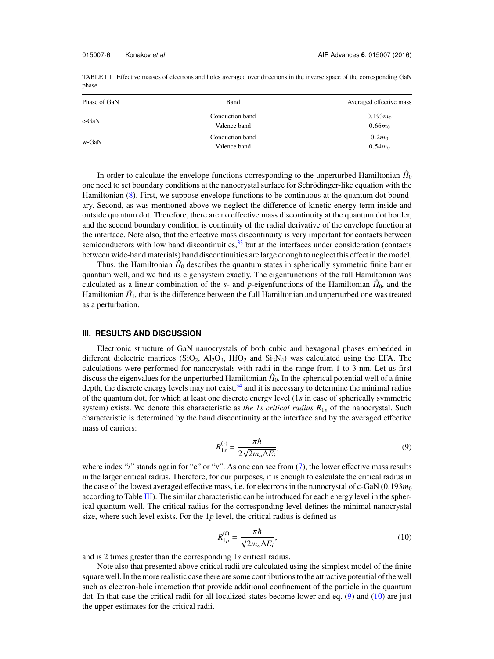| Phase of GaN | Band                            | Averaged effective mass |
|--------------|---------------------------------|-------------------------|
| $c$ -GaN     | Conduction band<br>Valence band | $0.193m_0$<br>$0.66m_0$ |
| w-GaN        | Conduction band<br>Valence band | $0.2m_0$<br>$0.54m_0$   |

TABLE III. Effective masses of electrons and holes averaged over directions in the inverse space of the corresponding GaN phase.

In order to calculate the envelope functions corresponding to the unperturbed Hamiltonian  $\hat{H}_0$ one need to set boundary conditions at the nanocrystal surface for Schrödinger-like equation with the Hamiltonian (8). First, we suppose envelope functions to be continuous at the quantum dot boundary. Second, as was mentioned above we neglect the difference of kinetic energy term inside and outside quantum dot. Therefore, there are no effective mass discontinuity at the quantum dot border, and the second boundary condition is continuity of the radial derivative of the envelope function at the interface. Note also, that the effective mass discontinuity is very important for contacts between semiconductors with low band discontinuities, $33$  but at the interfaces under consideration (contacts between wide-band materials) band discontinuities are large enough to neglect this effect in the model.

Thus, the Hamiltonian  $\hat{H}_0$  describes the quantum states in spherically symmetric finite barrier quantum well, and we find its eigensystem exactly. The eigenfunctions of the full Hamiltonian was calculated as a linear combination of the  $s$ - and  $p$ -eigenfunctions of the Hamiltonian  $\hat{H}_0$ , and the Hamiltonian  $\hat{H}_1$ , that is the difference between the full Hamiltonian and unperturbed one was treated as a perturbation.

## **III. RESULTS AND DISCUSSION**

Electronic structure of GaN nanocrystals of both cubic and hexagonal phases embedded in different dielectric matrices (SiO<sub>2</sub>, Al<sub>2</sub>O<sub>3</sub>, HfO<sub>2</sub> and Si<sub>3</sub>N<sub>4</sub>) was calculated using the EFA. The calculations were performed for nanocrystals with radii in the range from 1 to 3 nm. Let us first discuss the eigenvalues for the unperturbed Hamiltonian  $\hat{H}_0$ . In the spherical potential well of a finite depth, the discrete energy levels may not exist, $34$  and it is necessary to determine the minimal radius of the quantum dot, for which at least one discrete energy level (1*s* in case of spherically symmetric system) exists. We denote this characteristic as *the 1s critical radius R*1<sup>s</sup> of the nanocrystal. Such characteristic is determined by the band discontinuity at the interface and by the averaged effective mass of carriers:

$$
R_{1s}^{(i)} = \frac{\pi \hbar}{2\sqrt{2m_a \Delta E_i}},\tag{9}
$$

where index "*i*" stands again for "c" or "v". As one can see from (7), the lower effective mass results in the larger critical radius. Therefore, for our purposes, it is enough to calculate the critical radius in the case of the lowest averaged effective mass, i.e. for electrons in the nanocrystal of c-GaN  $(0.193m<sub>0</sub>)$ according to Table III). The similar characteristic can be introduced for each energy level in the spherical quantum well. The critical radius for the corresponding level defines the minimal nanocrystal size, where such level exists. For the 1*p* level, the critical radius is defined as

$$
R_{1p}^{(i)} = \frac{\pi \hbar}{\sqrt{2m_a \Delta E_i}},\tag{10}
$$

and is 2 times greater than the corresponding 1*s* critical radius.

Note also that presented above critical radii are calculated using the simplest model of the finite square well. In the more realistic case there are some contributions to the attractive potential of the well such as electron-hole interaction that provide additional confinement of the particle in the quantum dot. In that case the critical radii for all localized states become lower and eq. (9) and (10) are just the upper estimates for the critical radii.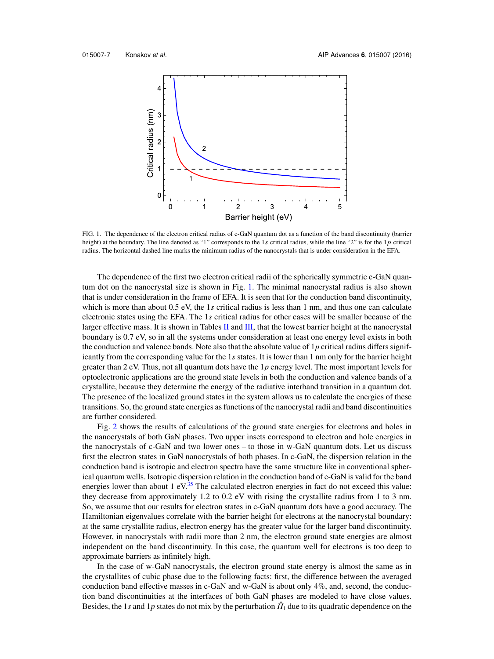

FIG. 1. The dependence of the electron critical radius of c-GaN quantum dot as a function of the band discontinuity (barrier height) at the boundary. The line denoted as "1" corresponds to the 1s critical radius, while the line "2" is for the 1p critical radius. The horizontal dashed line marks the minimum radius of the nanocrystals that is under consideration in the EFA.

The dependence of the first two electron critical radii of the spherically symmetric c-GaN quantum dot on the nanocrystal size is shown in Fig. 1. The minimal nanocrystal radius is also shown that is under consideration in the frame of EFA. It is seen that for the conduction band discontinuity, which is more than about 0.5 eV, the 1*s* critical radius is less than 1 nm, and thus one can calculate electronic states using the EFA. The 1*s* critical radius for other cases will be smaller because of the larger effective mass. It is shown in Tables II and III, that the lowest barrier height at the nanocrystal boundary is 0.7 eV, so in all the systems under consideration at least one energy level exists in both the conduction and valence bands. Note also that the absolute value of  $1p$  critical radius differs significantly from the corresponding value for the 1*s* states. It is lower than 1 nm only for the barrier height greater than 2 eV. Thus, not all quantum dots have the 1*p* energy level. The most important levels for optoelectronic applications are the ground state levels in both the conduction and valence bands of a crystallite, because they determine the energy of the radiative interband transition in a quantum dot. The presence of the localized ground states in the system allows us to calculate the energies of these transitions. So, the ground state energies as functions of the nanocrystal radii and band discontinuities are further considered.

Fig. 2 shows the results of calculations of the ground state energies for electrons and holes in the nanocrystals of both GaN phases. Two upper insets correspond to electron and hole energies in the nanocrystals of c-GaN and two lower ones – to those in w-GaN quantum dots. Let us discuss first the electron states in GaN nanocrystals of both phases. In c-GaN, the dispersion relation in the conduction band is isotropic and electron spectra have the same structure like in conventional spherical quantum wells. Isotropic dispersion relation in the conduction band of c-GaN is valid for the band energies lower than about  $1 \text{ eV}^{35}$ . The calculated electron energies in fact do not exceed this value: they decrease from approximately 1.2 to 0.2 eV with rising the crystallite radius from 1 to 3 nm. So, we assume that our results for electron states in c-GaN quantum dots have a good accuracy. The Hamiltonian eigenvalues correlate with the barrier height for electrons at the nanocrystal boundary: at the same crystallite radius, electron energy has the greater value for the larger band discontinuity. However, in nanocrystals with radii more than 2 nm, the electron ground state energies are almost independent on the band discontinuity. In this case, the quantum well for electrons is too deep to approximate barriers as infinitely high.

In the case of w-GaN nanocrystals, the electron ground state energy is almost the same as in the crystallites of cubic phase due to the following facts: first, the difference between the averaged conduction band effective masses in c-GaN and w-GaN is about only 4%, and, second, the conduction band discontinuities at the interfaces of both GaN phases are modeled to have close values. Besides, the 1*s* and 1*p* states do not mix by the perturbation  $\hat{H}_1$  due to its quadratic dependence on the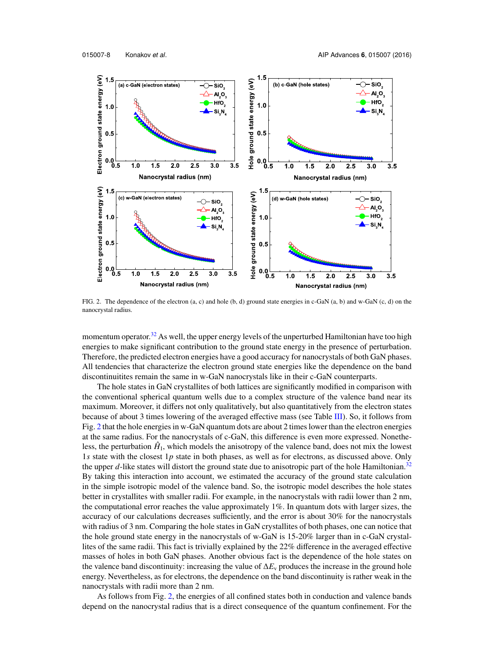

FIG. 2. The dependence of the electron (a, c) and hole (b, d) ground state energies in c-GaN (a, b) and w-GaN (c, d) on the nanocrystal radius.

momentum operator.<sup>32</sup> As well, the upper energy levels of the unperturbed Hamiltonian have too high energies to make significant contribution to the ground state energy in the presence of perturbation. Therefore, the predicted electron energies have a good accuracy for nanocrystals of both GaN phases. All tendencies that characterize the electron ground state energies like the dependence on the band discontinuitites remain the same in w-GaN nanocrystals like in their c-GaN counterparts.

The hole states in GaN crystallites of both lattices are significantly modified in comparison with the conventional spherical quantum wells due to a complex structure of the valence band near its maximum. Moreover, it differs not only qualitatively, but also quantitatively from the electron states because of about 3 times lowering of the averaged effective mass (see Table III). So, it follows from Fig. 2 that the hole energies in w-GaN quantum dots are about 2 times lower than the electron energies at the same radius. For the nanocrystals of c-GaN, this difference is even more expressed. Nonetheless, the perturbation  $\hat{H}_1$ , which models the anisotropy of the valence band, does not mix the lowest 1*s* state with the closest 1*p* state in both phases, as well as for electrons, as discussed above. Only the upper *d*-like states will distort the ground state due to anisotropic part of the hole Hamiltonian.<sup>32</sup> By taking this interaction into account, we estimated the accuracy of the ground state calculation in the simple isotropic model of the valence band. So, the isotropic model describes the hole states better in crystallites with smaller radii. For example, in the nanocrystals with radii lower than 2 nm, the computational error reaches the value approximately 1%. In quantum dots with larger sizes, the accuracy of our calculations decreases sufficiently, and the error is about 30% for the nanocrystals with radius of 3 nm. Comparing the hole states in GaN crystallites of both phases, one can notice that the hole ground state energy in the nanocrystals of w-GaN is 15-20% larger than in c-GaN crystallites of the same radii. This fact is trivially explained by the 22% difference in the averaged effective masses of holes in both GaN phases. Another obvious fact is the dependence of the hole states on the valence band discontinuity: increasing the value of  $\Delta E_{v}$  produces the increase in the ground hole energy. Nevertheless, as for electrons, the dependence on the band discontinuity is rather weak in the nanocrystals with radii more than 2 nm.

As follows from Fig. 2, the energies of all confined states both in conduction and valence bands depend on the nanocrystal radius that is a direct consequence of the quantum confinement. For the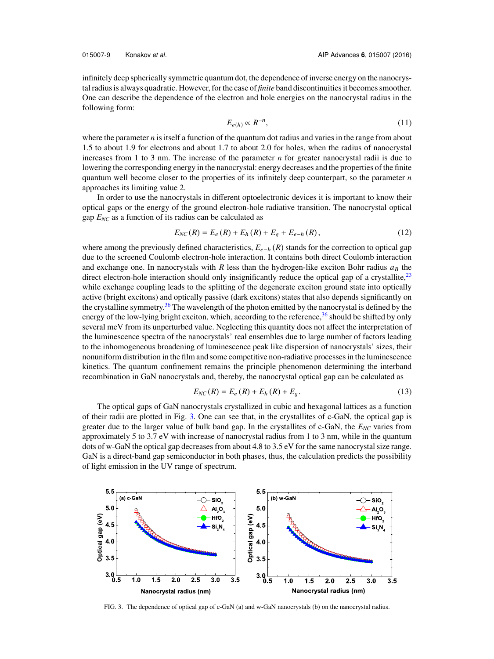infinitely deep spherically symmetric quantum dot, the dependence of inverse energy on the nanocrystal radius is always quadratic. However, for the case of *finite* band discontinuities it becomes smoother. One can describe the dependence of the electron and hole energies on the nanocrystal radius in the following form:

$$
E_{e(h)} \propto R^{-n},\tag{11}
$$

where the parameter  $n$  is itself a function of the quantum dot radius and varies in the range from about 1.5 to about 1.9 for electrons and about 1.7 to about 2.0 for holes, when the radius of nanocrystal increases from 1 to 3 nm. The increase of the parameter *n* for greater nanocrystal radii is due to lowering the corresponding energy in the nanocrystal: energy decreases and the properties of the finite quantum well become closer to the properties of its infinitely deep counterpart, so the parameter *n* approaches its limiting value 2.

In order to use the nanocrystals in different optoelectronic devices it is important to know their optical gaps or the energy of the ground electron-hole radiative transition. The nanocrystal optical gap *ENC* as a function of its radius can be calculated as

$$
E_{NC}(R) = E_e(R) + E_h(R) + E_g + E_{e-h}(R),
$$
\n(12)

where among the previously defined characteristics,  $E_{e-h}(R)$  stands for the correction to optical gap due to the screened Coulomb electron-hole interaction. It contains both direct Coulomb interaction and exchange one. In nanocrystals with *R* less than the hydrogen-like exciton Bohr radius  $a_B$  the direct electron-hole interaction should only insignificantly reduce the optical gap of a crystallite, $^{23}$ while exchange coupling leads to the splitting of the degenerate exciton ground state into optically active (bright excitons) and optically passive (dark excitons) states that also depends significantly on the crystalline symmetry.<sup>36</sup> The wavelength of the photon emitted by the nanocrystal is defined by the energy of the low-lying bright exciton, which, according to the reference,<sup>36</sup> should be shifted by only several meV from its unperturbed value. Neglecting this quantity does not affect the interpretation of the luminescence spectra of the nanocrystals' real ensembles due to large number of factors leading to the inhomogeneous broadening of luminescence peak like dispersion of nanocrystals' sizes, their nonuniform distribution in the film and some competitive non-radiative processes in the luminescence kinetics. The quantum confinement remains the principle phenomenon determining the interband recombination in GaN nanocrystals and, thereby, the nanocrystal optical gap can be calculated as

$$
E_{NC}(R) = E_e(R) + E_h(R) + E_g.
$$
 (13)

The optical gaps of GaN nanocrystals crystallized in cubic and hexagonal lattices as a function of their radii are plotted in Fig. 3. One can see that, in the crystallites of c-GaN, the optical gap is greater due to the larger value of bulk band gap. In the crystallites of c-GaN, the *ENC* varies from approximately 5 to 3.7 eV with increase of nanocrystal radius from 1 to 3 nm, while in the quantum dots of w-GaN the optical gap decreases from about 4.8 to 3.5 eV for the same nanocrystal size range. GaN is a direct-band gap semiconductor in both phases, thus, the calculation predicts the possibility of light emission in the UV range of spectrum.



FIG. 3. The dependence of optical gap of c-GaN (a) and w-GaN nanocrystals (b) on the nanocrystal radius.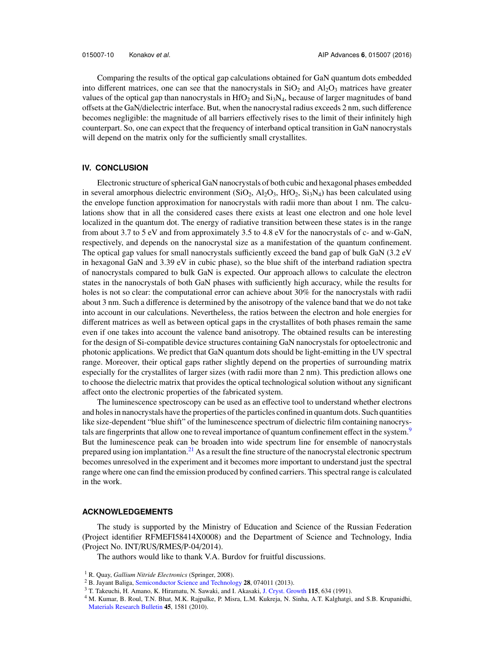Comparing the results of the optical gap calculations obtained for GaN quantum dots embedded into different matrices, one can see that the nanocrystals in  $SiO<sub>2</sub>$  and  $Al<sub>2</sub>O<sub>3</sub>$  matrices have greater values of the optical gap than nanocrystals in  $HfO<sub>2</sub>$  and  $Si<sub>3</sub>N<sub>4</sub>$ , because of larger magnitudes of band offsets at the GaN/dielectric interface. But, when the nanocrystal radius exceeds 2 nm, such difference becomes negligible: the magnitude of all barriers effectively rises to the limit of their infinitely high counterpart. So, one can expect that the frequency of interband optical transition in GaN nanocrystals will depend on the matrix only for the sufficiently small crystallites.

# **IV. CONCLUSION**

Electronic structure of spherical GaN nanocrystals of both cubic and hexagonal phases embedded in several amorphous dielectric environment  $(SiO<sub>2</sub>, Al<sub>2</sub>O<sub>3</sub>, HfO<sub>2</sub>, Si<sub>3</sub>N<sub>4</sub>)$  has been calculated using the envelope function approximation for nanocrystals with radii more than about 1 nm. The calculations show that in all the considered cases there exists at least one electron and one hole level localized in the quantum dot. The energy of radiative transition between these states is in the range from about 3.7 to 5 eV and from approximately 3.5 to 4.8 eV for the nanocrystals of c- and w-GaN, respectively, and depends on the nanocrystal size as a manifestation of the quantum confinement. The optical gap values for small nanocrystals sufficiently exceed the band gap of bulk GaN (3.2 eV in hexagonal GaN and 3.39 eV in cubic phase), so the blue shift of the interband radiation spectra of nanocrystals compared to bulk GaN is expected. Our approach allows to calculate the electron states in the nanocrystals of both GaN phases with sufficiently high accuracy, while the results for holes is not so clear: the computational error can achieve about 30% for the nanocrystals with radii about 3 nm. Such a difference is determined by the anisotropy of the valence band that we do not take into account in our calculations. Nevertheless, the ratios between the electron and hole energies for different matrices as well as between optical gaps in the crystallites of both phases remain the same even if one takes into account the valence band anisotropy. The obtained results can be interesting for the design of Si-compatible device structures containing GaN nanocrystals for optoelectronic and photonic applications. We predict that GaN quantum dots should be light-emitting in the UV spectral range. Moreover, their optical gaps rather slightly depend on the properties of surrounding matrix especially for the crystallites of larger sizes (with radii more than 2 nm). This prediction allows one to choose the dielectric matrix that provides the optical technological solution without any significant affect onto the electronic properties of the fabricated system.

The luminescence spectroscopy can be used as an effective tool to understand whether electrons and holes in nanocrystals have the properties of the particles confined in quantum dots. Such quantities like size-dependent "blue shift" of the luminescence spectrum of dielectric film containing nanocrystals are fingerprints that allow one to reveal importance of quantum confinement effect in the system.<sup>9</sup> But the luminescence peak can be broaden into wide spectrum line for ensemble of nanocrystals prepared using ion implantation.<sup>21</sup> As a result the fine structure of the nanocrystal electronic spectrum becomes unresolved in the experiment and it becomes more important to understand just the spectral range where one can find the emission produced by confined carriers. This spectral range is calculated in the work.

# **ACKNOWLEDGEMENTS**

The study is supported by the Ministry of Education and Science of the Russian Federation (Project identifier RFMEFI58414X0008) and the Department of Science and Technology, India (Project No. INT/RUS/RMES/P-04/2014).

The authors would like to thank V.A. Burdov for fruitful discussions.

- <sup>2</sup> B. Jayant Baliga, Semiconductor Science and Technology **28**, 074011 (2013).
- <sup>3</sup> T. Takeuchi, H. Amano, K. Hiramatu, N. Sawaki, and I. Akasaki, J. Cryst. Growth 115, 634 (1991).

<sup>1</sup> R. Quay, *Gallium Nitride Electronics* (Springer, 2008).

<sup>4</sup> M. Kumar, B. Roul, T.N. Bhat, M.K. Rajpalke, P. Misra, L.M. Kukreja, N. Sinha, A.T. Kalghatgi, and S.B. Krupanidhi, Materials Research Bulletin 45, 1581 (2010).